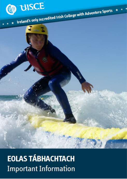

**EOLAS TÁBHACHTACH Important Information**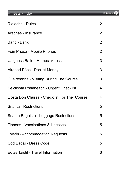| <b>Rialacha - Rules</b>                         | $\overline{2}$ |
|-------------------------------------------------|----------------|
| Árachas - Insurance                             | $\overline{2}$ |
| Banc - Bank                                     | $\overline{2}$ |
| Fóin Phóca - Mobile Phones                      | $\overline{2}$ |
| Uaigness Baile - Homesickness                   | 3              |
| Airgead Póca - Pocket Money                     | $\mathfrak{S}$ |
| <b>Cuairteanna - Visiting During The Course</b> | 3              |
| Seicliosta Práinneach - Urgent Checklist        | $\overline{4}$ |
| Liosta Don Chúrsa - Checklist For The Course    | $\overline{4}$ |
| <b>Srianta - Restrictions</b>                   | 5              |
| Srianta Bagáiste - Luggage Restrictions         | 5              |
| Tinneas - Vaccinations & Illnesses              | 5              |
| Lóistín - Accommodation Requests                | 5              |
| Cód Éadaí - Dress Code                          | 5              |
| <b>Eolas Taistil - Travel Information</b>       | 6              |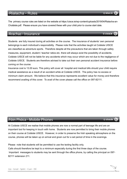## Rialacha - Rules

The primary course rules are listed on the website at https://uisce.ie/wp-content/uploads/2019/04/Rialacha-an-Choláiste.pdf. Please ensure you have covered these with your child prior to course start date.

#### Árachas - Insurance

Students are fully insured during all activities on the course. The insurance of students' own personal belongings is each individual's responsibility. Please note that the activities taught at Coláiste UISCE are classified as adventure sports. Therefore despite all the precautions that are taken through safety measures, equipment, student / teacher ratios etc. there will always exist the possibility of accidents. Coláiste UISCE will not be liable for any accidents which may occur which are not due to the negligence of Coláiste UISCE. Students are therefore advised to take out their own personal accident insurance before coming on the course.

Insurance cost is 13.00 euro. This policy will cover all hospital and medical bills should your child require medical assistance as a result of an accident while at Coláiste UISCE. The policy has no excess or minimum claim amount. We believe that this insurance represents excellent value for money and therefore recommend availing of this cover. To avail of the cover please call the office on 097-82111.

#### Fóin Phóca - Mobile Phones

At Coláiste UISCE we realise that mobile phones are now a normal part of teenage life and are an important tool for keeping in touch with home. Students are now permitted to bring their mobile phones on their course at Coláiste UISCE. However, in order to preserve the Irish speaking atmosphere on the course, phones will be taken up on arrival and given out for a set period of time in the evenings.

Please note that students will be permitted to use the texting facility only. Calls should therefore be kept to a minimum especially during the first three days of the course. Important messages to students may be sent through the office phone, by calling the principal on 097-82111 extension 211.

© uisce.ie

© uisce.ie

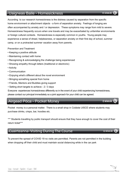# Uaigneas Baile - Homesickness

According to our research homesickness is the distress caused by separation from the specific home environment or attachment objects - a form of separation anxiety. Feelings of longing are often accompanied by anxiety and / or depression. These symptoms may range from mild to severe. Homesickness frequently occurs when one travels and may be exacerbated by unfamiliar environments or foreign cultural contexts. Homesickness is especially common in youths. Young people may experience a sense of dread, helplessness, or separation anxiety on their first day of school, summer camp, or on a protracted summer vacation away from parents.

Prevention and Treatment

- Keeping a positive attitude
- Maintaining contact with home
- Recognizing & acknowledging the challenge being experienced
- Showing empathy through letters (traditional or electronic)
- Activity
- Communication
- Enjoying what's different about the novel environment
- Bringing something special from home
- Friends, Mentors and Buddies giving support
- Setting short targets to achieve 2 / 3 days

Everyone experiences homesickness differently so in the event of your child experiencing homesickness,

please contact our principal immediately so a joint approach for your child can be agreed.

## Airgead Póca - Pocket Money

Pocket money is a personal matter. There is a small shop in Coláiste UISCE where students may purchase drinks, crisps, bar, hoodies etc.

\*\*\* Students travelling by public transport should ensure that they have enough to cover the cost of their return ticket\*\*\*

## Cuairteanna-Visiting During The Course

To prevent the spread of COVID 19 no visits are permitted. Parents are not permitted in the building when dropping off their child and must maintain social distancing while in the car park



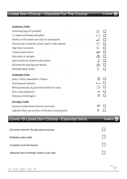## Liosta Don Chúrsa - Checklist For The Course

#### **ESSENTIAL ITEMS**

| Swimming togs (2 if possible)                            | A                |
|----------------------------------------------------------|------------------|
| 3 x Towels (old towels advisable)                        |                  |
| Booties or old runners and socks for watersports         |                  |
| Thermal top or polyester jersey / top for under wetsuit  | 17               |
| High factor sunscreen                                    | $\sum_{i=1}^{n}$ |
| <b>Tracksuit and runners</b>                             | P                |
| Rain jacket or rain gear                                 | 4T               |
| Spare inhaler for students with asthma                   |                  |
| Old shorts for wearing over wetsuit                      | 53               |
| Refillable Water Bottle                                  | Å                |
| <b>STANDARD ITEMS</b>                                    |                  |
| Jeans, T-Shirts, Sweatshirts / Fleeces                   |                  |
| Toilet bag and toiletries                                |                  |
| Writing materials, A4 pad and A4 binder for notes        |                  |
| Pens, colouring pencils                                  |                  |
| Dictionary Irish/English                                 |                  |
| <b>OPTIONAL ITEMS</b>                                    |                  |
| Camera, Football boots, Musical Instrument               | తి               |
| Logbooks (from any previous certificates in watersports) | Ū                |

# Covid 19 Liosta Don Chúrsa - Essential Items

### © uisce.ie (

 $\vee$ 

| Old white t-shirt for Tie-dye/ paint purposes |  |
|-----------------------------------------------|--|
| Refillable water bottle                       |  |
| 5 packets of pocket tissues                   |  |
| Adaquate face coverings/ masks (2 per day)    |  |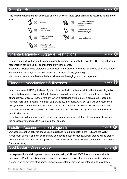#### Srianta - Restrictions

The following items are not permitted and will be confiscated upon arrival and returned at the end of





& bubblegum

Aerosols

Matches / Lighters & Cigarettes

All pen-knives & potentially hazardous appliances

## Srianta Bagáiste - Luggage Restrictions

Please ensure all clothes and luggage are clearly marked and labelled. Coláiste UISCE will not accept responsibility for clothes lost or left behind during the course.

- Soft bags / Holdall bags preferable to suitcases, dimensions of which do not exceed 900 x 400 x 600.
- Maximum of two bags per students with a max weight of 15kg (2 x 15kg).
- No backpacks are permitted on the bus, all personal belongings must be on person.

## Tinneas - Vaccinations & Illnesses

In accordance with HSE guidelines, If your child's medical condition falls into either the very high risk (also called extremely vulnerable) or high risk group as defined by the HSE, they will not be able to attend Campaí UISCE. In the event of your child displaying symptoms of a contagious illness e.g. (mumps, noro viral infection – stomach bug, swine flu, meningitis, COVID 19), it will be necessary to take your child home immediately in order to avoid the spread of the illness. Students should have received TWO doses of the MMR and MenC vaccine as part their primary childhood immunisations prior to attendance

Head lice- due to the massive outbreak of headlice nationally, we ask that all parents check and take the neccessary measures to avoid any further spread.

#### Lóistín - Accommodation Requests

Our accommodation policy is based upon guidelines from Fáilte Ireland, the HSE and the WHO. A maximum of one friend can be listed and both forms must correspond. Larger groups will be broken in seperate accommodation. Groups of three will be subject to availability and granted on a first come first serve basis,

#### Cód Éadaí - Dress Code

In keeping with our child's protection and welfare policy, Coláiste UISCE has introduced a simple dress code. Due to our diverse age group, the dress code requires that students' midriff and underclothes must be covered at all times. Students must refrain from wearing potential offensive logos





Skateboards, roller blades, heelies, etc.

Hair straighteners



© uisce.ie



© uisce.ie

© uisce.ie

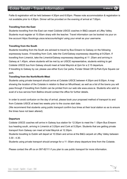Failte & registration will be held between 4:30pm and 6:00pm. Please note accommodation & registration is not available prior to 4:30pm. Dinner will be provided on the evening of arrival at 7:00pm.

#### Travelling from the East

Students travelling from the East can meet Coláíste USICE coaches in B&Q carpark at Liffey Valley. Students must register at 10.00am sharp with the teacher. Travel information can be booked via your on line account https://bookings.uisce.ie/accounts/login/ using your email as your username.

#### Travelling from the South

Students travelling from the South are advised to travel by Bus Eireann to Galway on the following expressway buses. If travelling from Cork, take the Cork/Galway expressway departing at 9:25am. If travelling from Limerick, take the Limerick/Galway expressway departing at 11 :25am and arriving in Galway at 1.45pm, where students will be met by an UISCE representative, students wishing to get Coláiste UISCE bus from Galway should meet at hotel Meyrick at 2pm for a 2:15 departure. If travelling to Galway by car, please use either Euro Car parks, Forster Street OR Q-Park Eyre Square car park.

#### Travelling from the North/North-West

Students using private transport should arrive at Colaiste UISCE between 4:30pm and 6:00pm. A map showing the location of the Colaiste in relation to Beal an Mhuirthead, as well as a list of the towns you will pass through if travelling from Dublin can be printed from our web site www.uisce.ie. Students who wish to avail of a bus service from Ballina should contact the office for further details.

In order to avoid confusion on the day of arrival, please book your proposed method of transport to and from Colaiste UISCE at least two weeks prior to the course start date.

(We recommend that students using public transport confirm bus times at their local station so as to ensure the times have not been altered).

#### **Departure**

Coláiste UISCE coaches will arrive in Galway bus station for 12:30pm to meet the 1 :05pm Bus Eireann bus heading south, arriving in Limerick at 3:20pm and Cork at 5:25pm. Students that are getting private transport from Galway can meet at hotel Meyrick at 12.30pm.

Students travelling to Dublin will depart at 10:30am and arrive at the B&Q carpark at Liffey Valley between 3.30 - 4.30.

Students using private transport should arrange for a 11 :00am sharp departure time from the Colaiste.

Please contact the offi ce on 097-82111 if you plan to use public transport for more information.